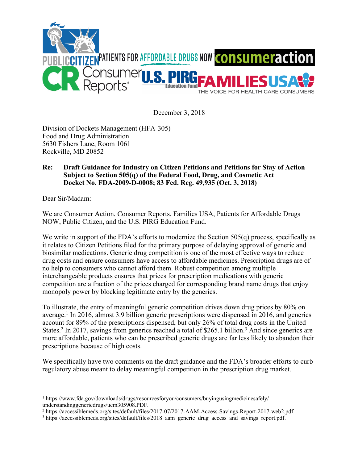

December 3, 2018

Division of Dockets Management (HFA-305) Food and Drug Administration 5630 Fishers Lane, Room 1061 Rockville, MD 20852

## **Re: Draft Guidance for Industry on Citizen Petitions and Petitions for Stay of Action Subject to Section 505(q) of the Federal Food, Drug, and Cosmetic Act Docket No. FDA-2009-D-0008; 83 Fed. Reg. 49,935 (Oct. 3, 2018)**

Dear Sir/Madam:

We are Consumer Action, Consumer Reports, Families USA, Patients for Affordable Drugs NOW, Public Citizen, and the U.S. PIRG Education Fund.

We write in support of the FDA's efforts to modernize the Section 505(q) process, specifically as it relates to Citizen Petitions filed for the primary purpose of delaying approval of generic and biosimilar medications. Generic drug competition is one of the most effective ways to reduce drug costs and ensure consumers have access to affordable medicines. Prescription drugs are of no help to consumers who cannot afford them. Robust competition among multiple interchangeable products ensures that prices for prescription medications with generic competition are a fraction of the prices charged for corresponding brand name drugs that enjoy monopoly power by blocking legitimate entry by the generics.

To illustrate, the entry of meaningful generic competition drives down drug prices by 80% on average.1 In 2016, almost 3.9 billion generic prescriptions were dispensed in 2016, and generics account for 89% of the prescriptions dispensed, but only 26% of total drug costs in the United States.<sup>2</sup> In 2017, savings from generics reached a total of \$265.1 billion.<sup>3</sup> And since generics are more affordable, patients who can be prescribed generic drugs are far less likely to abandon their prescriptions because of high costs.

We specifically have two comments on the draft guidance and the FDA's broader efforts to curb regulatory abuse meant to delay meaningful competition in the prescription drug market.

 $\overline{a}$ <sup>1</sup> https://www.fda.gov/downloads/drugs/resourcesforyou/consumers/buyingusingmedicinesafely/ understandinggenericdrugs/ucm305908.PDF.

<sup>2</sup> https://accessiblemeds.org/sites/default/files/2017-07/2017-AAM-Access-Savings-Report-2017-web2.pdf.

<sup>&</sup>lt;sup>3</sup> https://accessiblemeds.org/sites/default/files/2018\_aam\_generic\_drug\_access\_and\_savings\_report.pdf.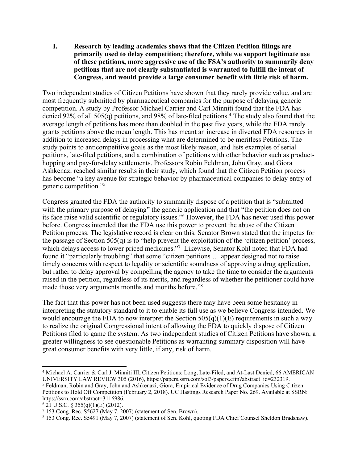**I. Research by leading academics shows that the Citizen Petition filings are primarily used to delay competition; therefore, while we support legitimate use of these petitions, more aggressive use of the FSA's authority to summarily deny petitions that are not clearly substantiated is warranted to fulfill the intent of Congress, and would provide a large consumer benefit with little risk of harm.**

Two independent studies of Citizen Petitions have shown that they rarely provide value, and are most frequently submitted by pharmaceutical companies for the purpose of delaying generic competition. A study by Professor Michael Carrier and Carl Minniti found that the FDA has denied 92% of all 505(q) petitions, and 98% of late-filed petitions. <sup>4</sup> The study also found that the average length of petitions has more than doubled in the past five years, while the FDA rarely grants petitions above the mean length. This has meant an increase in diverted FDA resources in addition to increased delays in processing what are determined to be meritless Petitions. The study points to anticompetitive goals as the most likely reason, and lists examples of serial petitions, late-filed petitions, and a combination of petitions with other behavior such as producthopping and pay-for-delay settlements. Professors Robin Feldman, John Gray, and Giora Ashkenazi reached similar results in their study, which found that the Citizen Petition process has become "a key avenue for strategic behavior by pharmaceutical companies to delay entry of generic competition."5

Congress granted the FDA the authority to summarily dispose of a petition that is "submitted with the primary purpose of delaying" the generic application and that "the petition does not on its face raise valid scientific or regulatory issues."6 However, the FDA has never used this power before. Congress intended that the FDA use this power to prevent the abuse of the Citizen Petition process. The legislative record is clear on this. Senator Brown stated that the impetus for the passage of Section 505(q) is to "help prevent the exploitation of the 'citizen petition' process, which delays access to lower priced medicines."<sup>7</sup> Likewise, Senator Kohl noted that FDA had found it "particularly troubling" that some "citizen petitions ... appear designed not to raise timely concerns with respect to legality or scientific soundness of approving a drug application, but rather to delay approval by compelling the agency to take the time to consider the arguments raised in the petition, regardless of its merits, and regardless of whether the petitioner could have made those very arguments months and months before."8

The fact that this power has not been used suggests there may have been some hesitancy in interpreting the statutory standard to it to enable its full use as we believe Congress intended. We would encourage the FDA to now interpret the Section  $505(q)(1)(E)$  requirements in such a way to realize the original Congressional intent of allowing the FDA to quickly dispose of Citizen Petitions filed to game the system. As two independent studies of Citizen Petitions have shown, a greater willingness to see questionable Petitions as warranting summary disposition will have great consumer benefits with very little, if any, risk of harm.

 $\overline{a}$ <sup>4</sup> Michael A. Carrier & Carl J. Minniti III, Citizen Petitions: Long, Late-Filed, and At-Last Denied, 66 AMERICAN UNIVERSITY LAW REVIEW 305 (2016), https://papers.ssrn.com/sol3/papers.cfm?abstract\_id=232319.

<sup>5</sup> Feldman, Robin and Gray, John and Ashkenazi, Giora, Empirical Evidence of Drug Companies Using Citizen Petitions to Hold Off Competition (February 2, 2018). UC Hastings Research Paper No. 269. Available at SSRN: https://ssrn.com/abstract=3116986.

 $6$  21 U.S.C. § 355(q)(1)(E) (2012).

<sup>7</sup> 153 Cong. Rec. S5627 (May 7, 2007) (statement of Sen. Brown).

<sup>8</sup> 153 Cong. Rec. S5491 (May 7, 2007) (statement of Sen. Kohl, quoting FDA Chief Counsel Sheldon Bradshaw).